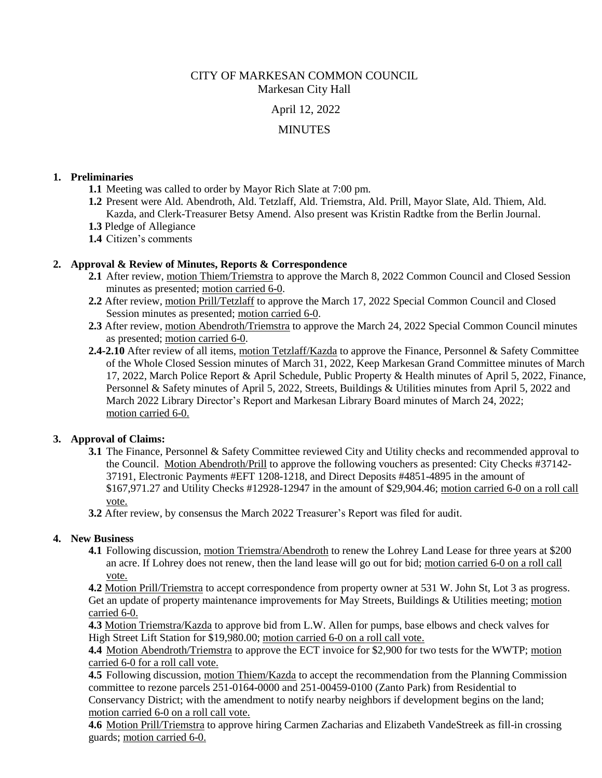CITY OF MARKESAN COMMON COUNCIL Markesan City Hall

April 12, 2022

# MINUTES

#### **1. Preliminaries**

- **1.1** Meeting was called to order by Mayor Rich Slate at 7:00 pm.
- **1.2** Present were Ald. Abendroth, Ald. Tetzlaff, Ald. Triemstra, Ald. Prill, Mayor Slate, Ald. Thiem, Ald. Kazda, and Clerk-Treasurer Betsy Amend. Also present was Kristin Radtke from the Berlin Journal.
- **1.3** Pledge of Allegiance
- **1.4** Citizen's comments

## **2. Approval & Review of Minutes, Reports & Correspondence**

- **2.1** After review, motion Thiem/Triemstra to approve the March 8, 2022 Common Council and Closed Session minutes as presented; motion carried 6-0.
- **2.2** After review, motion Prill/Tetzlaff to approve the March 17, 2022 Special Common Council and Closed Session minutes as presented; motion carried 6-0.
- **2.3** After review, motion Abendroth/Triemstra to approve the March 24, 2022 Special Common Council minutes as presented; motion carried 6-0.
- **2.4-2.10** After review of all items, motion Tetzlaff/Kazda to approve the Finance, Personnel & Safety Committee of the Whole Closed Session minutes of March 31, 2022, Keep Markesan Grand Committee minutes of March 17, 2022, March Police Report & April Schedule, Public Property & Health minutes of April 5, 2022, Finance, Personnel & Safety minutes of April 5, 2022, Streets, Buildings & Utilities minutes from April 5, 2022 and March 2022 Library Director's Report and Markesan Library Board minutes of March 24, 2022; motion carried 6-0.

### **3. Approval of Claims:**

- **3.1** The Finance, Personnel & Safety Committee reviewed City and Utility checks and recommended approval to the Council. Motion Abendroth/Prill to approve the following vouchers as presented: City Checks #37142- 37191, Electronic Payments #EFT 1208-1218, and Direct Deposits #4851-4895 in the amount of \$167,971.27 and Utility Checks #12928-12947 in the amount of \$29,904.46; motion carried 6-0 on a roll call vote.
- **3.2** After review, by consensus the March 2022 Treasurer's Report was filed for audit.

### **4. New Business**

**4.1** Following discussion, motion Triemstra/Abendroth to renew the Lohrey Land Lease for three years at \$200 an acre. If Lohrey does not renew, then the land lease will go out for bid; motion carried 6-0 on a roll call vote.

**4.2** Motion Prill/Triemstra to accept correspondence from property owner at 531 W. John St, Lot 3 as progress. Get an update of property maintenance improvements for May Streets, Buildings & Utilities meeting; motion carried 6-0.

**4.3** Motion Triemstra/Kazda to approve bid from L.W. Allen for pumps, base elbows and check valves for High Street Lift Station for \$19,980.00; motion carried 6-0 on a roll call vote.

**4.4** Motion Abendroth/Triemstra to approve the ECT invoice for \$2,900 for two tests for the WWTP; motion carried 6-0 for a roll call vote.

**4.5** Following discussion, motion Thiem/Kazda to accept the recommendation from the Planning Commission committee to rezone parcels 251-0164-0000 and 251-00459-0100 (Zanto Park) from Residential to Conservancy District; with the amendment to notify nearby neighbors if development begins on the land; motion carried 6-0 on a roll call vote.

**4.6** Motion Prill/Triemstra to approve hiring Carmen Zacharias and Elizabeth VandeStreek as fill-in crossing guards; motion carried 6-0.